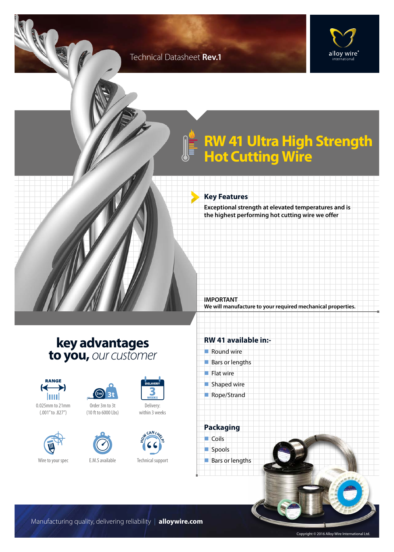### Technical Datasheet **Rev.1**



## **RW 41 Ultra High Strength Hot Cutting Wire**

#### **Key Features**

**IMPORTANT**

**Exceptional strength at elevated temperatures and is the highest performing hot cutting wire we offer**

**We will manufacture to your required mechanical properties.**

**key advantages to you,** *our customer*















within 3 weeks



Technical support

#### **RW 41 available in:-**

 $\blacksquare$  Round wire  $\blacksquare$  Bars or lengths  $\blacksquare$  Flat wire  $\blacksquare$  Shaped wire Rope/Strand **Packaging**  $\Box$ Coils spools Bars or lengths

Manufacturing quality, delivering reliability | **alloywire.com**

Copyright © 2016 Alloy Wire International Ltd.